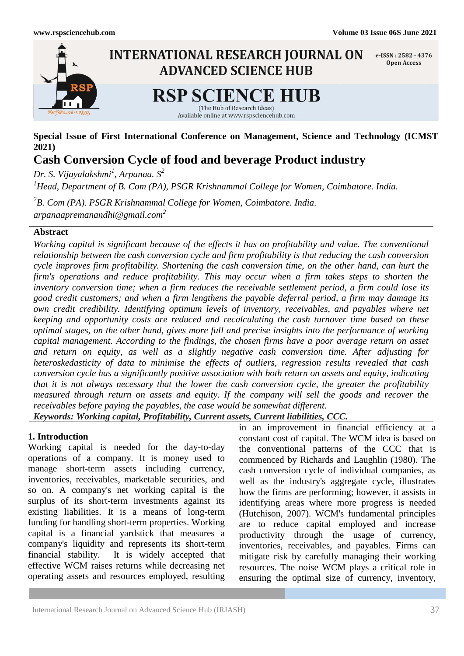

**Special Issue of First International Conference on Management, Science and Technology (ICMST 2021)**

**Cash Conversion Cycle of food and beverage Product industry**

*Dr. S. Vijayalakshmi<sup>1</sup> , Arpanaa. S<sup>2</sup> <sup>1</sup>Head, Department of B. Com (PA), PSGR Krishnammal College for Women, Coimbatore. India. 2 B. Com (PA). PSGR Krishnammal College for Women, Coimbatore. India. arpanaapremanandhi@gmail.com<sup>2</sup>*

# **Abstract**

*Working capital is significant because of the effects it has on profitability and value. The conventional relationship between the cash conversion cycle and firm profitability is that reducing the cash conversion cycle improves firm profitability. Shortening the cash conversion time, on the other hand, can hurt the firm's operations and reduce profitability. This may occur when a firm takes steps to shorten the inventory conversion time; when a firm reduces the receivable settlement period, a firm could lose its good credit customers; and when a firm lengthens the payable deferral period, a firm may damage its own credit credibility. Identifying optimum levels of inventory, receivables, and payables where net keeping and opportunity costs are reduced and recalculating the cash turnover time based on these optimal stages, on the other hand, gives more full and precise insights into the performance of working capital management. According to the findings, the chosen firms have a poor average return on asset and return on equity, as well as a slightly negative cash conversion time. After adjusting for heteroskedasticity of data to minimise the effects of outliers, regression results revealed that cash conversion cycle has a significantly positive association with both return on assets and equity, indicating that it is not always necessary that the lower the cash conversion cycle, the greater the profitability measured through return on assets and equity. If the company will sell the goods and recover the receivables before paying the payables, the case would be somewhat different. Keywords: Working capital, Profitability, Current assets, Current liabilities, CCC.*

## **1. Introduction**

Working capital is needed for the day-to-day operations of a company. It is money used to manage short-term assets including currency, inventories, receivables, marketable securities, and so on. A company's net working capital is the surplus of its short-term investments against its existing liabilities. It is a means of long-term funding for handling short-term properties. Working capital is a financial yardstick that measures a company's liquidity and represents its short-term financial stability. It is widely accepted that effective WCM raises returns while decreasing net operating assets and resources employed, resulting in an improvement in financial efficiency at a constant cost of capital. The WCM idea is based on the conventional patterns of the CCC that is commenced by Richards and Laughlin (1980). The cash conversion cycle of individual companies, as well as the industry's aggregate cycle, illustrates how the firms are performing; however, it assists in identifying areas where more progress is needed (Hutchison, 2007). WCM's fundamental principles are to reduce capital employed and increase productivity through the usage of currency, inventories, receivables, and payables. Firms can mitigate risk by carefully managing their working resources. The noise WCM plays a critical role in ensuring the optimal size of currency, inventory,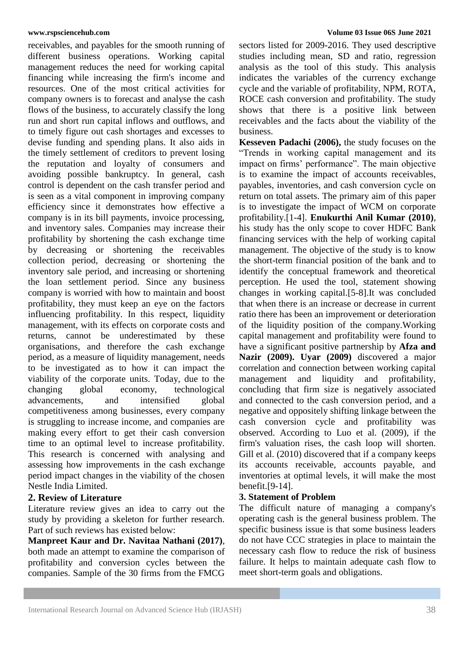receivables, and payables for the smooth running of different business operations. Working capital management reduces the need for working capital financing while increasing the firm's income and resources. One of the most critical activities for company owners is to forecast and analyse the cash flows of the business, to accurately classify the long run and short run capital inflows and outflows, and to timely figure out cash shortages and excesses to devise funding and spending plans. It also aids in the timely settlement of creditors to prevent losing the reputation and loyalty of consumers and avoiding possible bankruptcy. In general, cash control is dependent on the cash transfer period and is seen as a vital component in improving company efficiency since it demonstrates how effective a company is in its bill payments, invoice processing, and inventory sales. Companies may increase their profitability by shortening the cash exchange time by decreasing or shortening the receivables collection period, decreasing or shortening the inventory sale period, and increasing or shortening the loan settlement period. Since any business company is worried with how to maintain and boost profitability, they must keep an eye on the factors influencing profitability. In this respect, liquidity management, with its effects on corporate costs and returns, cannot be underestimated by these organisations, and therefore the cash exchange period, as a measure of liquidity management, needs to be investigated as to how it can impact the viability of the corporate units. Today, due to the changing global economy, technological advancements, and intensified global competitiveness among businesses, every company is struggling to increase income, and companies are making every effort to get their cash conversion time to an optimal level to increase profitability. This research is concerned with analysing and assessing how improvements in the cash exchange period impact changes in the viability of the chosen Nestle India Limited.

## **2. Review of Literature**

Literature review gives an idea to carry out the study by providing a skeleton for further research. Part of such reviews has existed below:

**Manpreet Kaur and Dr. Navitaa Nathani (2017)**, both made an attempt to examine the comparison of profitability and conversion cycles between the companies. Sample of the 30 firms from the FMCG

### **www.rspsciencehub.com Volume 03 Issue 06S June 2021**

sectors listed for 2009-2016. They used descriptive studies including mean, SD and ratio, regression analysis as the tool of this study. This analysis indicates the variables of the currency exchange cycle and the variable of profitability, NPM, ROTA, ROCE cash conversion and profitability. The study shows that there is a positive link between receivables and the facts about the viability of the business.

**Kesseven Padachi (2006),** the study focuses on the "Trends in working capital management and its impact on firms' performance". The main objective is to examine the impact of accounts receivables, payables, inventories, and cash conversion cycle on return on total assets. The primary aim of this paper is to investigate the impact of WCM on corporate profitability.[1-4]. **Enukurthi Anil Kumar (2010)**, his study has the only scope to cover HDFC Bank financing services with the help of working capital management. The objective of the study is to know the short-term financial position of the bank and to identify the conceptual framework and theoretical perception. He used the tool, statement showing changes in working capital.[5-8].It was concluded that when there is an increase or decrease in current ratio there has been an improvement or deterioration of the liquidity position of the company.Working capital management and profitability were found to have a significant positive partnership by **Afza and Nazir (2009). Uyar (2009)** discovered a major correlation and connection between working capital management and liquidity and profitability, concluding that firm size is negatively associated and connected to the cash conversion period, and a negative and oppositely shifting linkage between the cash conversion cycle and profitability was observed. According to Luo et al. (2009), if the firm's valuation rises, the cash loop will shorten. Gill et al. (2010) discovered that if a company keeps its accounts receivable, accounts payable, and inventories at optimal levels, it will make the most benefit.[9-14].

## **3. Statement of Problem**

The difficult nature of managing a company's operating cash is the general business problem. The specific business issue is that some business leaders do not have CCC strategies in place to maintain the necessary cash flow to reduce the risk of business failure. It helps to maintain adequate cash flow to meet short-term goals and obligations.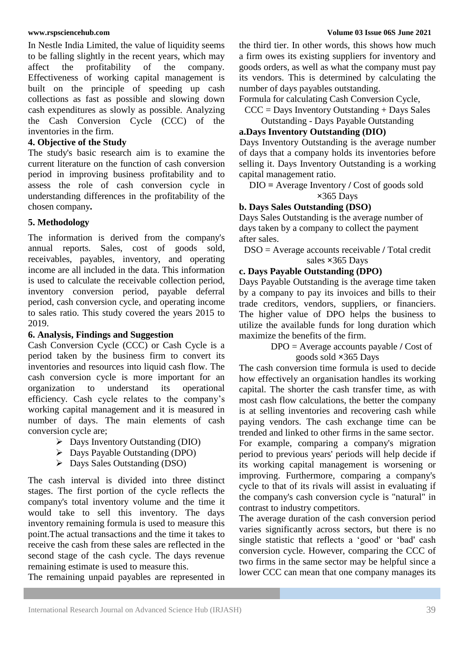In Nestle India Limited, the value of liquidity seems to be falling slightly in the recent years, which may affect the profitability of the company. Effectiveness of working capital management is built on the principle of speeding up cash collections as fast as possible and slowing down cash expenditures as slowly as possible. Analyzing the Cash Conversion Cycle (CCC) of the inventories in the firm.

## **4. Objective of the Study**

The study's basic research aim is to examine the current literature on the function of cash conversion period in improving business profitability and to assess the role of cash conversion cycle in understanding differences in the profitability of the chosen company**.**

# **5. Methodology**

The information is derived from the company's annual reports. Sales, cost of goods sold, receivables, payables, inventory, and operating income are all included in the data. This information is used to calculate the receivable collection period, inventory conversion period, payable deferral period, cash conversion cycle, and operating income to sales ratio. This study covered the years 2015 to 2019.

## **6. Analysis, Findings and Suggestion**

Cash Conversion Cycle (CCC) or Cash Cycle is a period taken by the business firm to convert its inventories and resources into liquid cash flow. The cash conversion cycle is more important for an organization to understand its operational efficiency. Cash cycle relates to the company"s working capital management and it is measured in number of days. The main elements of cash conversion cycle are;

- $\triangleright$  Days Inventory Outstanding (DIO)
- $\triangleright$  Days Payable Outstanding (DPO)
- Days Sales Outstanding (DSO)

The cash interval is divided into three distinct stages. The first portion of the cycle reflects the company's total inventory volume and the time it would take to sell this inventory. The days inventory remaining formula is used to measure this point.The actual transactions and the time it takes to receive the cash from these sales are reflected in the second stage of the cash cycle. The days revenue remaining estimate is used to measure this.

The remaining unpaid payables are represented in

the third tier. In other words, this shows how much a firm owes its existing suppliers for inventory and goods orders, as well as what the company must pay its vendors. This is determined by calculating the number of days payables outstanding.

Formula for calculating Cash Conversion Cycle,

 $CCC = Days$  Inventory Outstanding  $+$  Days Sales

Outstanding - Days Payable Outstanding

# **a.Days Inventory Outstanding (DIO)**

Days Inventory Outstanding is the average number of days that a company holds its inventories before selling it. Days Inventory Outstanding is a working capital management ratio.

DIO **=** Average Inventory **/** Cost of goods sold **×**365 Days

## **b. Days Sales Outstanding (DSO)**

Days Sales Outstanding is the average number of days taken by a company to collect the payment after sales.

DSO = Average accounts receivable **/** Total credit sales **×**365 Days

## **c. Days Payable Outstanding (DPO)**

Days Payable Outstanding is the average time taken by a company to pay its invoices and bills to their trade creditors, vendors, suppliers, or financiers. The higher value of DPO helps the business to utilize the available funds for long duration which maximize the benefits of the firm.

> DPO = Average accounts payable **/** Cost of goods sold **×**365 Days

The cash conversion time formula is used to decide how effectively an organisation handles its working capital. The shorter the cash transfer time, as with most cash flow calculations, the better the company is at selling inventories and recovering cash while paying vendors. The cash exchange time can be trended and linked to other firms in the same sector. For example, comparing a company's migration period to previous years' periods will help decide if its working capital management is worsening or improving. Furthermore, comparing a company's cycle to that of its rivals will assist in evaluating if the company's cash conversion cycle is "natural" in contrast to industry competitors.

The average duration of the cash conversion period varies significantly across sectors, but there is no single statistic that reflects a "good' or "bad' cash conversion cycle. However, comparing the CCC of two firms in the same sector may be helpful since a lower CCC can mean that one company manages its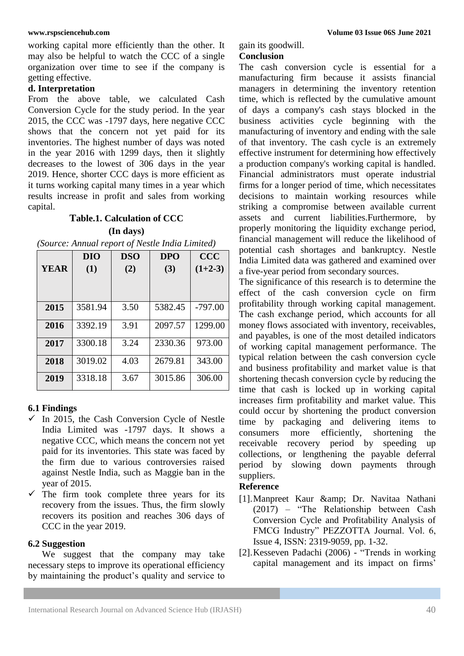working capital more efficiently than the other. It may also be helpful to watch the CCC of a single organization over time to see if the company is getting effective.

## **d. Interpretation**

From the above table, we calculated Cash Conversion Cycle for the study period. In the year 2015, the CCC was -1797 days, here negative CCC shows that the concern not yet paid for its inventories. The highest number of days was noted in the year 2016 with 1299 days, then it slightly decreases to the lowest of 306 days in the year 2019. Hence, shorter CCC days is more efficient as it turns working capital many times in a year which results increase in profit and sales from working capital.

## **Table.1. Calculation of CCC**

**(In days)**

*(Source: Annual report of Nestle India Limited)*

|             | DIO     | <b>DSO</b> | <b>DPO</b> | <b>CCC</b> |
|-------------|---------|------------|------------|------------|
| <b>YEAR</b> | (1)     | (2)        | (3)        | $(1+2-3)$  |
|             |         |            |            |            |
|             |         |            |            |            |
| 2015        | 3581.94 | 3.50       | 5382.45    | $-797.00$  |
| 2016        | 3392.19 | 3.91       | 2097.57    | 1299.00    |
| 2017        | 3300.18 | 3.24       | 2330.36    | 973.00     |
| 2018        | 3019.02 | 4.03       | 2679.81    | 343.00     |
| 2019        | 3318.18 | 3.67       | 3015.86    | 306.00     |

## **6.1 Findings**

- $\checkmark$  In 2015, the Cash Conversion Cycle of Nestle India Limited was -1797 days. It shows a negative CCC, which means the concern not yet paid for its inventories. This state was faced by the firm due to various controversies raised against Nestle India, such as Maggie ban in the year of 2015.
- $\checkmark$  The firm took complete three years for its recovery from the issues. Thus, the firm slowly recovers its position and reaches 306 days of CCC in the year 2019.

## **6.2 Suggestion**

 We suggest that the company may take necessary steps to improve its operational efficiency by maintaining the product's quality and service to gain its goodwill.

## **Conclusion**

The cash conversion cycle is essential for a manufacturing firm because it assists financial managers in determining the inventory retention time, which is reflected by the cumulative amount of days a company's cash stays blocked in the business activities cycle beginning with the manufacturing of inventory and ending with the sale of that inventory. The cash cycle is an extremely effective instrument for determining how effectively a production company's working capital is handled. Financial administrators must operate industrial firms for a longer period of time, which necessitates decisions to maintain working resources while striking a compromise between available current assets and current liabilities.Furthermore, by properly monitoring the liquidity exchange period, financial management will reduce the likelihood of potential cash shortages and bankruptcy. Nestle India Limited data was gathered and examined over a five-year period from secondary sources.

The significance of this research is to determine the effect of the cash conversion cycle on firm profitability through working capital management. The cash exchange period, which accounts for all money flows associated with inventory, receivables, and payables, is one of the most detailed indicators of working capital management performance. The typical relation between the cash conversion cycle and business profitability and market value is that shortening thecash conversion cycle by reducing the time that cash is locked up in working capital increases firm profitability and market value. This could occur by shortening the product conversion time by packaging and delivering items to consumers more efficiently, shortening the receivable recovery period by speeding up collections, or lengthening the payable deferral period by slowing down payments through suppliers.

## **Reference**

- [1].Manpreet Kaur & amp; Dr. Navitaa Nathani (2017) – "The Relationship between Cash Conversion Cycle and Profitability Analysis of FMCG Industry" PEZZOTTA Journal. Vol. 6, Issue 4, ISSN: 2319-9059, pp. 1-32.
- [2].Kesseven Padachi (2006) "Trends in working capital management and its impact on firms"